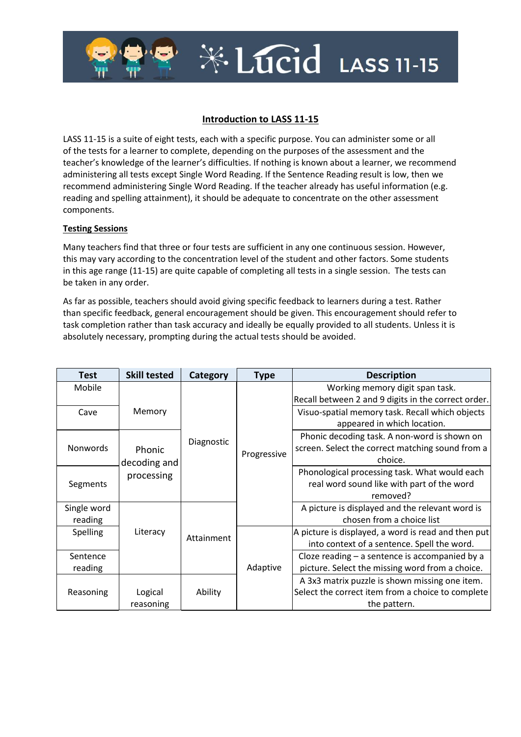## **Introduction to LASS 11-15**

\*Lucid LASS 11-15

LASS 11-15 is a suite of eight tests, each with a specific purpose. You can administer some or all of the tests for a learner to complete, depending on the purposes of the assessment and the teacher's knowledge of the learner's difficulties. If nothing is known about a learner, we recommend administering all tests except Single Word Reading. If the Sentence Reading result is low, then we recommend administering Single Word Reading. If the teacher already has useful information (e.g. reading and spelling attainment), it should be adequate to concentrate on the other assessment components.

## **Testing Sessions**

Many teachers find that three or four tests are sufficient in any one continuous session. However, this may vary according to the concentration level of the student and other factors. Some students in this age range (11-15) are quite capable of completing all tests in a single session. The tests can be taken in any order.

As far as possible, teachers should avoid giving specific feedback to learners during a test. Rather than specific feedback, general encouragement should be given. This encouragement should refer to task completion rather than task accuracy and ideally be equally provided to all students. Unless it is absolutely necessary, prompting during the actual tests should be avoided.

| Test            | <b>Skill tested</b> | Category   | <b>Type</b>                                  | <b>Description</b>                                  |
|-----------------|---------------------|------------|----------------------------------------------|-----------------------------------------------------|
| Mobile          |                     |            |                                              | Working memory digit span task.                     |
| Cave            | Memory              |            |                                              | Recall between 2 and 9 digits in the correct order. |
|                 |                     |            |                                              | Visuo-spatial memory task. Recall which objects     |
|                 |                     |            |                                              | appeared in which location.                         |
| <b>Nonwords</b> | Diagnostic          |            | Phonic decoding task. A non-word is shown on |                                                     |
|                 | Phonic              |            | Progressive                                  | screen. Select the correct matching sound from a    |
|                 | decoding and        |            |                                              | choice.                                             |
| Segments        | processing          |            |                                              | Phonological processing task. What would each       |
|                 |                     |            |                                              | real word sound like with part of the word          |
|                 |                     |            |                                              | removed?                                            |
| Single word     | Literacy            | Attainment |                                              | A picture is displayed and the relevant word is     |
| reading         |                     |            |                                              | chosen from a choice list                           |
| Spelling        |                     |            | Adaptive                                     | A picture is displayed, a word is read and then put |
|                 |                     |            |                                              | into context of a sentence. Spell the word.         |
| Sentence        |                     |            |                                              | Cloze reading $-$ a sentence is accompanied by a    |
| reading         |                     |            |                                              | picture. Select the missing word from a choice.     |
| Reasoning       |                     | Ability    |                                              | A 3x3 matrix puzzle is shown missing one item.      |
|                 | Logical             |            |                                              | Select the correct item from a choice to complete   |
|                 | reasoning           |            |                                              | the pattern.                                        |